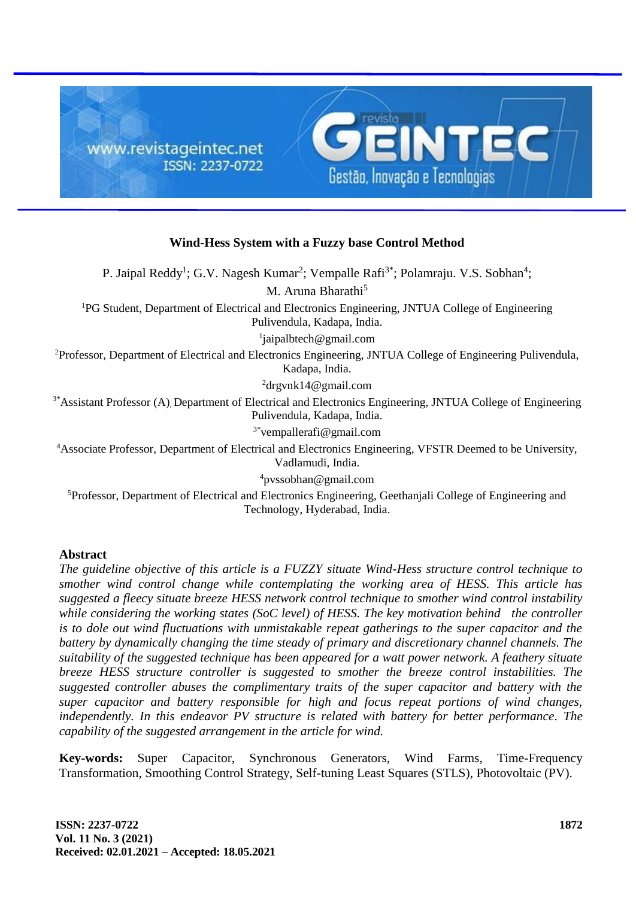

## **Wind-Hess System with a Fuzzy base Control Method**

P. Jaipal Reddy<sup>1</sup>; G.V. Nagesh Kumar<sup>2</sup>; Vempalle Rafi<sup>3\*</sup>; Polamraju. V.S. Sobhan<sup>4</sup>; M. Aruna Bharathi<sup>5</sup> <sup>1</sup>PG Student, Department of Electrical and Electronics Engineering, JNTUA College of Engineering Pulivendula, Kadapa, India. 1 jaipalbtech@gmail.com <sup>2</sup>Professor, Department of Electrical and Electronics Engineering, JNTUA College of Engineering Pulivendula, Kadapa, India. <sup>2</sup>drgvnk14@gmail.com <sup>3\*</sup>Assistant Professor (A), Department of Electrical and Electronics Engineering, JNTUA College of Engineering Pulivendula, Kadapa, India. 3\*vempallerafi@gmail.com <sup>4</sup>Associate Professor, Department of Electrical and Electronics Engineering, VFSTR Deemed to be University, Vadlamudi, India.

<sup>4</sup>pvssobhan@gmail.com

<sup>5</sup>Professor, Department of Electrical and Electronics Engineering, Geethanjali College of Engineering and Technology, Hyderabad, India.

## **Abstract**

*The guideline objective of this article is a FUZZY situate Wind-Hess structure control technique to smother wind control change while contemplating the working area of HESS. This article has suggested a fleecy situate breeze HESS network control technique to smother wind control instability while considering the working states (SoC level) of HESS. The key motivation behind the controller is to dole out wind fluctuations with unmistakable repeat gatherings to the super capacitor and the battery by dynamically changing the time steady of primary and discretionary channel channels. The suitability of the suggested technique has been appeared for a watt power network. A feathery situate breeze HESS structure controller is suggested to smother the breeze control instabilities. The suggested controller abuses the complimentary traits of the super capacitor and battery with the super capacitor and battery responsible for high and focus repeat portions of wind changes, independently. In this endeavor PV structure is related with battery for better performance. The capability of the suggested arrangement in the article for wind.*

**Key-words:** Super Capacitor, Synchronous Generators, Wind Farms, Time-Frequency Transformation, Smoothing Control Strategy, Self-tuning Least Squares (STLS), Photovoltaic (PV).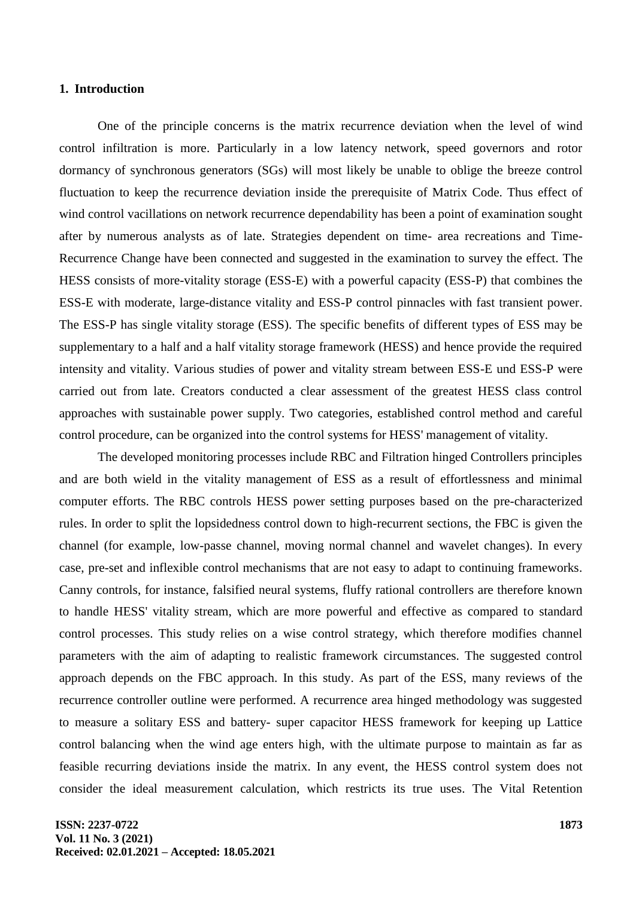#### **1. Introduction**

One of the principle concerns is the matrix recurrence deviation when the level of wind control infiltration is more. Particularly in a low latency network, speed governors and rotor dormancy of synchronous generators (SGs) will most likely be unable to oblige the breeze control fluctuation to keep the recurrence deviation inside the prerequisite of Matrix Code. Thus effect of wind control vacillations on network recurrence dependability has been a point of examination sought after by numerous analysts as of late. Strategies dependent on time- area recreations and Time-Recurrence Change have been connected and suggested in the examination to survey the effect. The HESS consists of more-vitality storage (ESS-E) with a powerful capacity (ESS-P) that combines the ESS-E with moderate, large-distance vitality and ESS-P control pinnacles with fast transient power. The ESS-P has single vitality storage (ESS). The specific benefits of different types of ESS may be supplementary to a half and a half vitality storage framework (HESS) and hence provide the required intensity and vitality. Various studies of power and vitality stream between ESS-E und ESS-P were carried out from late. Creators conducted a clear assessment of the greatest HESS class control approaches with sustainable power supply. Two categories, established control method and careful control procedure, can be organized into the control systems for HESS' management of vitality.

The developed monitoring processes include RBC and Filtration hinged Controllers principles and are both wield in the vitality management of ESS as a result of effortlessness and minimal computer efforts. The RBC controls HESS power setting purposes based on the pre-characterized rules. In order to split the lopsidedness control down to high-recurrent sections, the FBC is given the channel (for example, low-passe channel, moving normal channel and wavelet changes). In every case, pre-set and inflexible control mechanisms that are not easy to adapt to continuing frameworks. Canny controls, for instance, falsified neural systems, fluffy rational controllers are therefore known to handle HESS' vitality stream, which are more powerful and effective as compared to standard control processes. This study relies on a wise control strategy, which therefore modifies channel parameters with the aim of adapting to realistic framework circumstances. The suggested control approach depends on the FBC approach. In this study. As part of the ESS, many reviews of the recurrence controller outline were performed. A recurrence area hinged methodology was suggested to measure a solitary ESS and battery- super capacitor HESS framework for keeping up Lattice control balancing when the wind age enters high, with the ultimate purpose to maintain as far as feasible recurring deviations inside the matrix. In any event, the HESS control system does not consider the ideal measurement calculation, which restricts its true uses. The Vital Retention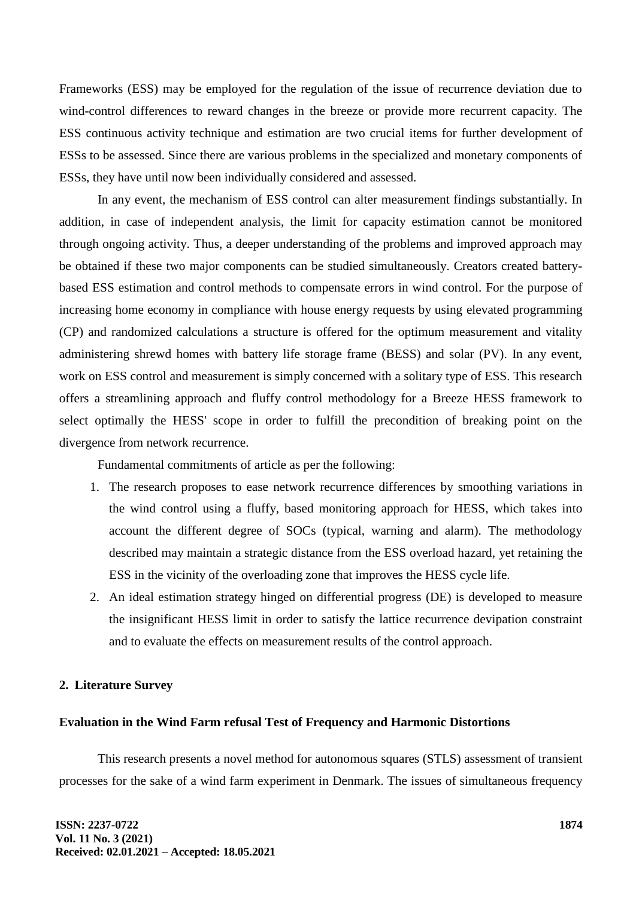Frameworks (ESS) may be employed for the regulation of the issue of recurrence deviation due to wind-control differences to reward changes in the breeze or provide more recurrent capacity. The ESS continuous activity technique and estimation are two crucial items for further development of ESSs to be assessed. Since there are various problems in the specialized and monetary components of ESSs, they have until now been individually considered and assessed.

In any event, the mechanism of ESS control can alter measurement findings substantially. In addition, in case of independent analysis, the limit for capacity estimation cannot be monitored through ongoing activity. Thus, a deeper understanding of the problems and improved approach may be obtained if these two major components can be studied simultaneously. Creators created batterybased ESS estimation and control methods to compensate errors in wind control. For the purpose of increasing home economy in compliance with house energy requests by using elevated programming (CP) and randomized calculations a structure is offered for the optimum measurement and vitality administering shrewd homes with battery life storage frame (BESS) and solar (PV). In any event, work on ESS control and measurement is simply concerned with a solitary type of ESS. This research offers a streamlining approach and fluffy control methodology for a Breeze HESS framework to select optimally the HESS' scope in order to fulfill the precondition of breaking point on the divergence from network recurrence.

Fundamental commitments of article as per the following:

- 1. The research proposes to ease network recurrence differences by smoothing variations in the wind control using a fluffy, based monitoring approach for HESS, which takes into account the different degree of SOCs (typical, warning and alarm). The methodology described may maintain a strategic distance from the ESS overload hazard, yet retaining the ESS in the vicinity of the overloading zone that improves the HESS cycle life.
- 2. An ideal estimation strategy hinged on differential progress (DE) is developed to measure the insignificant HESS limit in order to satisfy the lattice recurrence devipation constraint and to evaluate the effects on measurement results of the control approach.

## **2. Literature Survey**

# **Evaluation in the Wind Farm refusal Test of Frequency and Harmonic Distortions**

This research presents a novel method for autonomous squares (STLS) assessment of transient processes for the sake of a wind farm experiment in Denmark. The issues of simultaneous frequency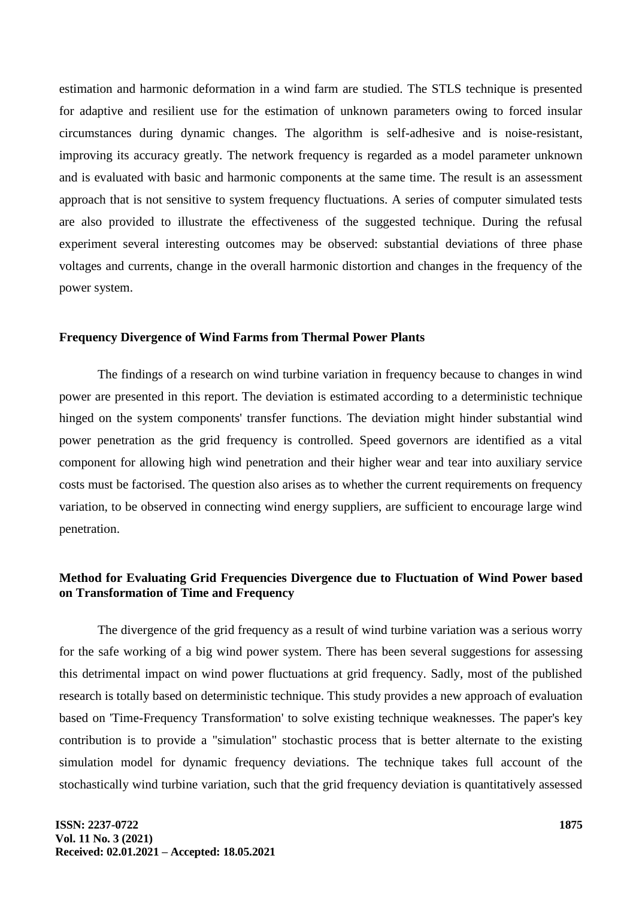estimation and harmonic deformation in a wind farm are studied. The STLS technique is presented for adaptive and resilient use for the estimation of unknown parameters owing to forced insular circumstances during dynamic changes. The algorithm is self-adhesive and is noise-resistant, improving its accuracy greatly. The network frequency is regarded as a model parameter unknown and is evaluated with basic and harmonic components at the same time. The result is an assessment approach that is not sensitive to system frequency fluctuations. A series of computer simulated tests are also provided to illustrate the effectiveness of the suggested technique. During the refusal experiment several interesting outcomes may be observed: substantial deviations of three phase voltages and currents, change in the overall harmonic distortion and changes in the frequency of the power system.

#### **Frequency Divergence of Wind Farms from Thermal Power Plants**

The findings of a research on wind turbine variation in frequency because to changes in wind power are presented in this report. The deviation is estimated according to a deterministic technique hinged on the system components' transfer functions. The deviation might hinder substantial wind power penetration as the grid frequency is controlled. Speed governors are identified as a vital component for allowing high wind penetration and their higher wear and tear into auxiliary service costs must be factorised. The question also arises as to whether the current requirements on frequency variation, to be observed in connecting wind energy suppliers, are sufficient to encourage large wind penetration.

# **Method for Evaluating Grid Frequencies Divergence due to Fluctuation of Wind Power based on Transformation of Time and Frequency**

The divergence of the grid frequency as a result of wind turbine variation was a serious worry for the safe working of a big wind power system. There has been several suggestions for assessing this detrimental impact on wind power fluctuations at grid frequency. Sadly, most of the published research is totally based on deterministic technique. This study provides a new approach of evaluation based on 'Time-Frequency Transformation' to solve existing technique weaknesses. The paper's key contribution is to provide a "simulation" stochastic process that is better alternate to the existing simulation model for dynamic frequency deviations. The technique takes full account of the stochastically wind turbine variation, such that the grid frequency deviation is quantitatively assessed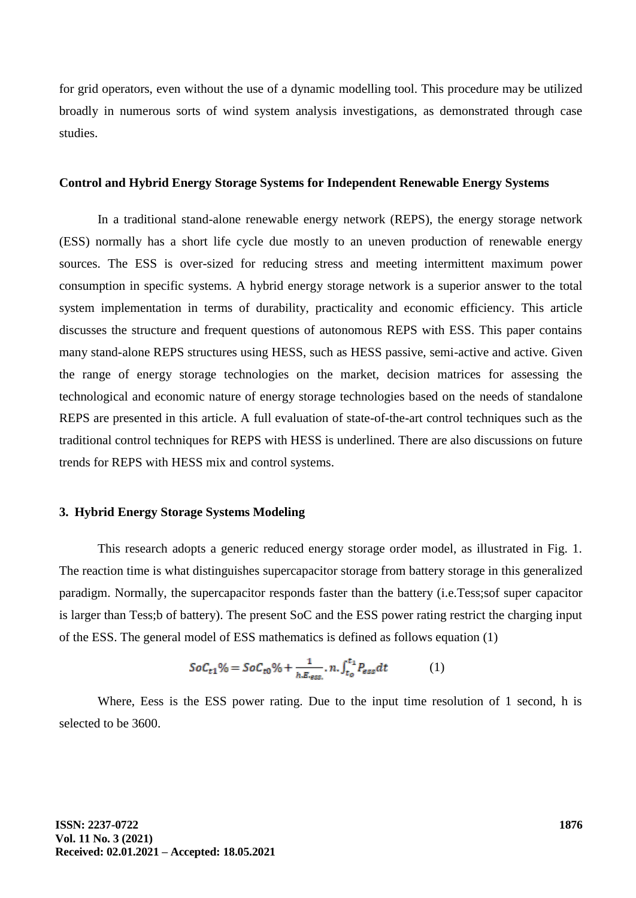for grid operators, even without the use of a dynamic modelling tool. This procedure may be utilized broadly in numerous sorts of wind system analysis investigations, as demonstrated through case studies.

#### **Control and Hybrid Energy Storage Systems for Independent Renewable Energy Systems**

In a traditional stand-alone renewable energy network (REPS), the energy storage network (ESS) normally has a short life cycle due mostly to an uneven production of renewable energy sources. The ESS is over-sized for reducing stress and meeting intermittent maximum power consumption in specific systems. A hybrid energy storage network is a superior answer to the total system implementation in terms of durability, practicality and economic efficiency. This article discusses the structure and frequent questions of autonomous REPS with ESS. This paper contains many stand-alone REPS structures using HESS, such as HESS passive, semi-active and active. Given the range of energy storage technologies on the market, decision matrices for assessing the technological and economic nature of energy storage technologies based on the needs of standalone REPS are presented in this article. A full evaluation of state-of-the-art control techniques such as the traditional control techniques for REPS with HESS is underlined. There are also discussions on future trends for REPS with HESS mix and control systems.

### **3. Hybrid Energy Storage Systems Modeling**

This research adopts a generic reduced energy storage order model, as illustrated in Fig. 1. The reaction time is what distinguishes supercapacitor storage from battery storage in this generalized paradigm. Normally, the supercapacitor responds faster than the battery (i.e.Tess;sof super capacitor is larger than Tess;b of battery). The present SoC and the ESS power rating restrict the charging input of the ESS. The general model of ESS mathematics is defined as follows equation (1)

$$
SoC_{t1}\% = SoC_{t0}\% + \frac{1}{h.E_{ess}}. n.\int_{t_0}^{t_1} P_{ess} dt
$$
 (1)

Where, Eess is the ESS power rating. Due to the input time resolution of 1 second, h is selected to be 3600.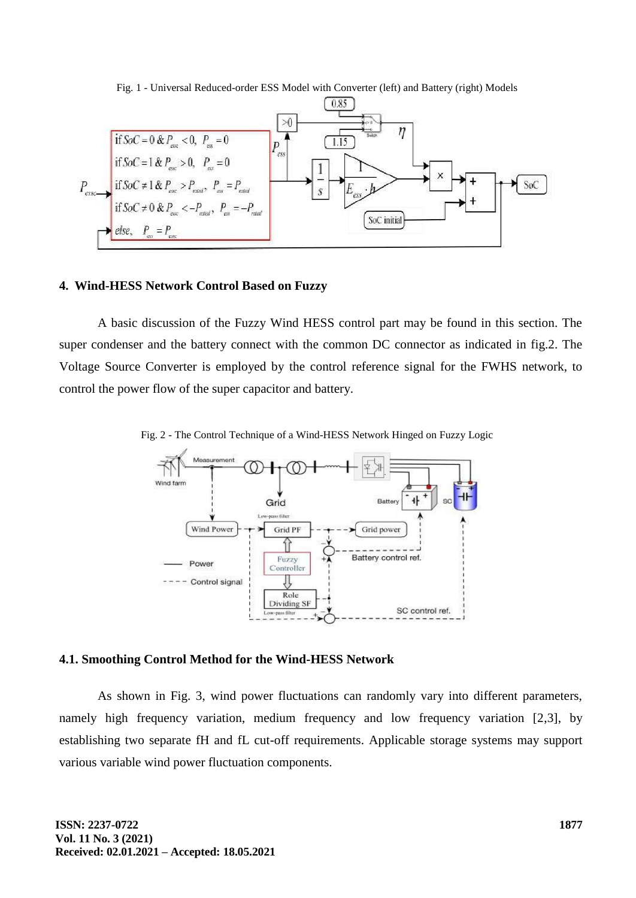

Fig. 1 - Universal Reduced-order ESS Model with Converter (left) and Battery (right) Models

#### **4. Wind-HESS Network Control Based on Fuzzy**

A basic discussion of the Fuzzy Wind HESS control part may be found in this section. The super condenser and the battery connect with the common DC connector as indicated in fig.2. The Voltage Source Converter is employed by the control reference signal for the FWHS network, to control the power flow of the super capacitor and battery.

Fig. 2 - The Control Technique of a Wind-HESS Network Hinged on Fuzzy Logic



## **4.1. Smoothing Control Method for the Wind-HESS Network**

As shown in Fig. 3, wind power fluctuations can randomly vary into different parameters, namely high frequency variation, medium frequency and low frequency variation [2,3], by establishing two separate fH and fL cut-off requirements. Applicable storage systems may support various variable wind power fluctuation components.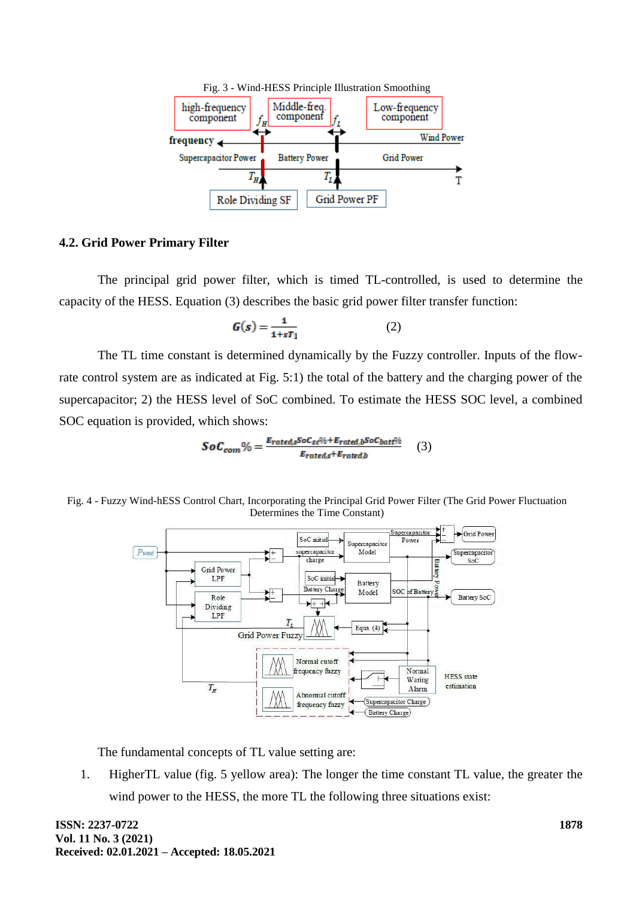

#### **4.2. Grid Power Primary Filter**

The principal grid power filter, which is timed TL-controlled, is used to determine the capacity of the HESS. Equation (3) describes the basic grid power filter transfer function:

$$
G(s) = \frac{1}{1 + sT_1} \tag{2}
$$

The TL time constant is determined dynamically by the Fuzzy controller. Inputs of the flowrate control system are as indicated at Fig. 5:1) the total of the battery and the charging power of the supercapacitor; 2) the HESS level of SoC combined. To estimate the HESS SOC level, a combined SOC equation is provided, which shows:

$$
SoC_{com}\% = \frac{E_{rated,s}SoC_{sc}\% + E_{rated,b}SoC_{batt}\%}{E_{rated,s} + E_{rated,b}} \tag{3}
$$





The fundamental concepts of TL value setting are:

1. HigherTL value (fig. 5 yellow area): The longer the time constant TL value, the greater the wind power to the HESS, the more TL the following three situations exist: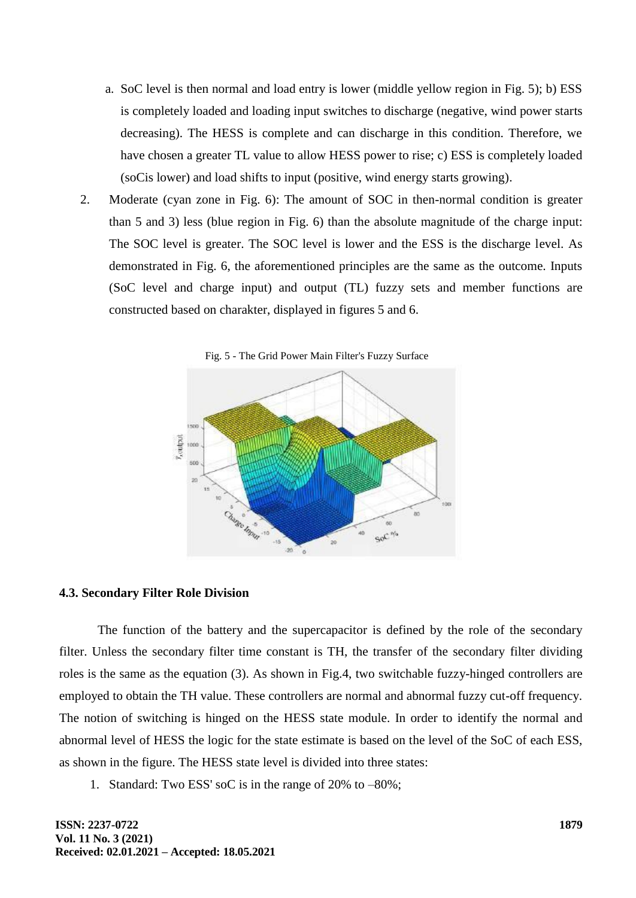- a. SoC level is then normal and load entry is lower (middle yellow region in Fig. 5); b) ESS is completely loaded and loading input switches to discharge (negative, wind power starts decreasing). The HESS is complete and can discharge in this condition. Therefore, we have chosen a greater TL value to allow HESS power to rise; c) ESS is completely loaded (soCis lower) and load shifts to input (positive, wind energy starts growing).
- 2. Moderate (cyan zone in Fig. 6): The amount of SOC in then-normal condition is greater than 5 and 3) less (blue region in Fig. 6) than the absolute magnitude of the charge input: The SOC level is greater. The SOC level is lower and the ESS is the discharge level. As demonstrated in Fig. 6, the aforementioned principles are the same as the outcome. Inputs (SoC level and charge input) and output (TL) fuzzy sets and member functions are constructed based on charakter, displayed in figures 5 and 6.



# **4.3. Secondary Filter Role Division**

The function of the battery and the supercapacitor is defined by the role of the secondary filter. Unless the secondary filter time constant is TH, the transfer of the secondary filter dividing roles is the same as the equation (3). As shown in Fig.4, two switchable fuzzy-hinged controllers are employed to obtain the TH value. These controllers are normal and abnormal fuzzy cut-off frequency. The notion of switching is hinged on the HESS state module. In order to identify the normal and abnormal level of HESS the logic for the state estimate is based on the level of the SoC of each ESS, as shown in the figure. The HESS state level is divided into three states:

1. Standard: Two ESS' soC is in the range of 20% to –80%;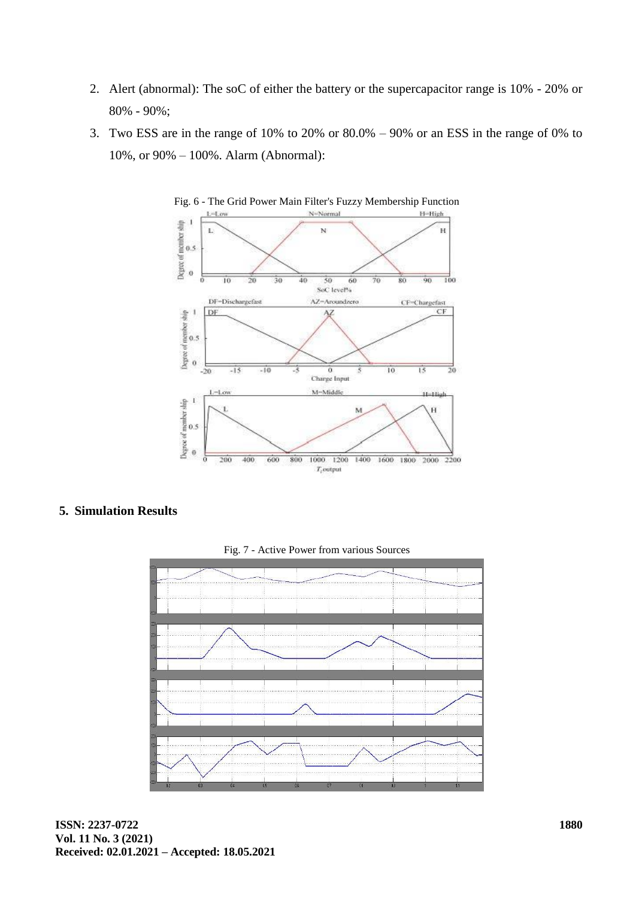- 2. Alert (abnormal): The soC of either the battery or the supercapacitor range is 10% 20% or 80% - 90%;
- 3. Two ESS are in the range of 10% to 20% or 80.0% 90% or an ESS in the range of 0% to 10%, or 90% – 100%. Alarm (Abnormal):





## **5. Simulation Results**



Fig. 7 - Active Power from various Sources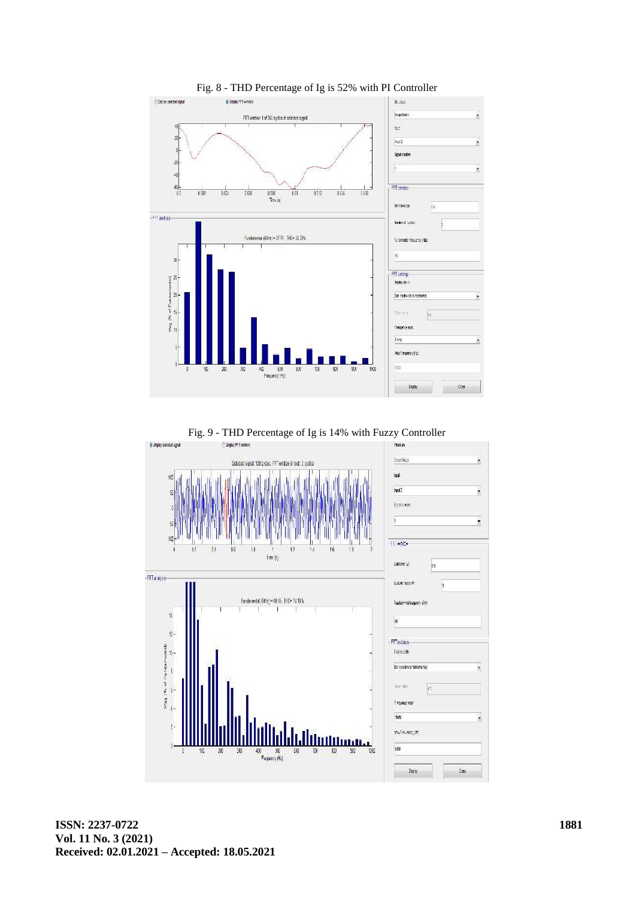

Fig. 8 - THD Percentage of Ig is 52% with PI Controller